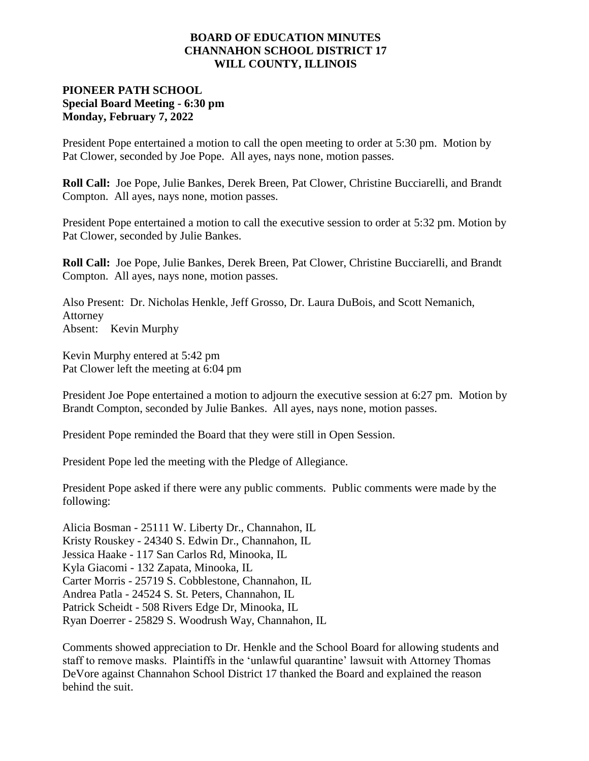#### **BOARD OF EDUCATION MINUTES CHANNAHON SCHOOL DISTRICT 17 WILL COUNTY, ILLINOIS**

# **PIONEER PATH SCHOOL Special Board Meeting - 6:30 pm Monday, February 7, 2022**

President Pope entertained a motion to call the open meeting to order at 5:30 pm. Motion by Pat Clower, seconded by Joe Pope. All ayes, nays none, motion passes.

**Roll Call:** Joe Pope, Julie Bankes, Derek Breen, Pat Clower, Christine Bucciarelli, and Brandt Compton. All ayes, nays none, motion passes.

President Pope entertained a motion to call the executive session to order at 5:32 pm. Motion by Pat Clower, seconded by Julie Bankes.

**Roll Call:** Joe Pope, Julie Bankes, Derek Breen, Pat Clower, Christine Bucciarelli, and Brandt Compton. All ayes, nays none, motion passes.

Also Present: Dr. Nicholas Henkle, Jeff Grosso, Dr. Laura DuBois, and Scott Nemanich, Attorney Absent: Kevin Murphy

Kevin Murphy entered at 5:42 pm Pat Clower left the meeting at 6:04 pm

President Joe Pope entertained a motion to adjourn the executive session at 6:27 pm. Motion by Brandt Compton, seconded by Julie Bankes. All ayes, nays none, motion passes.

President Pope reminded the Board that they were still in Open Session.

President Pope led the meeting with the Pledge of Allegiance.

President Pope asked if there were any public comments. Public comments were made by the following:

Alicia Bosman - 25111 W. Liberty Dr., Channahon, IL Kristy Rouskey - 24340 S. Edwin Dr., Channahon, IL Jessica Haake - 117 San Carlos Rd, Minooka, IL Kyla Giacomi - 132 Zapata, Minooka, IL Carter Morris - 25719 S. Cobblestone, Channahon, IL Andrea Patla - 24524 S. St. Peters, Channahon, IL Patrick Scheidt - 508 Rivers Edge Dr, Minooka, IL Ryan Doerrer - 25829 S. Woodrush Way, Channahon, IL

Comments showed appreciation to Dr. Henkle and the School Board for allowing students and staff to remove masks. Plaintiffs in the 'unlawful quarantine' lawsuit with Attorney Thomas DeVore against Channahon School District 17 thanked the Board and explained the reason behind the suit.